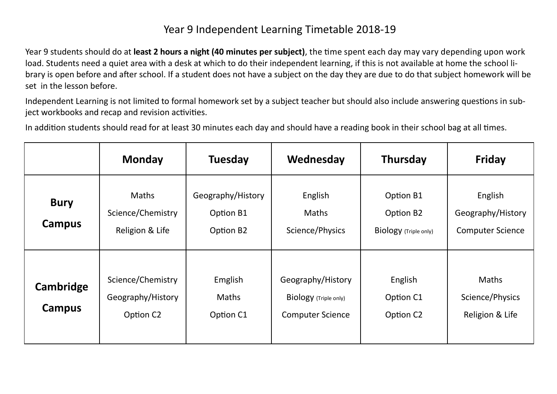## Year 9 Independent Learning Timetable 2018-19

Year 9 students should do at **least 2 hours a night (40 minutes per subject)**, the time spent each day may vary depending upon work load. Students need a quiet area with a desk at which to do their independent learning, if this is not available at home the school library is open before and after school. If a student does not have a subject on the day they are due to do that subject homework will be set in the lesson before.

Independent Learning is not limited to formal homework set by a subject teacher but should also include answering questions in subject workbooks and recap and revision activities.

In addition students should read for at least 30 minutes each day and should have a reading book in their school bag at all times.

|                       | <b>Monday</b>                                                   | <b>Tuesday</b>                              | Wednesday                                                             | <b>Thursday</b>                                 | <b>Friday</b>                                           |
|-----------------------|-----------------------------------------------------------------|---------------------------------------------|-----------------------------------------------------------------------|-------------------------------------------------|---------------------------------------------------------|
| <b>Bury</b><br>Campus | <b>Maths</b><br>Science/Chemistry<br>Religion & Life            | Geography/History<br>Option B1<br>Option B2 | English<br><b>Maths</b><br>Science/Physics                            | Option B1<br>Option B2<br>Biology (Triple only) | English<br>Geography/History<br><b>Computer Science</b> |
| Cambridge<br>Campus   | Science/Chemistry<br>Geography/History<br>Option C <sub>2</sub> | Emglish<br><b>Maths</b><br>Option C1        | Geography/History<br>Biology (Triple only)<br><b>Computer Science</b> | English<br>Option C1<br>Option C <sub>2</sub>   | <b>Maths</b><br>Science/Physics<br>Religion & Life      |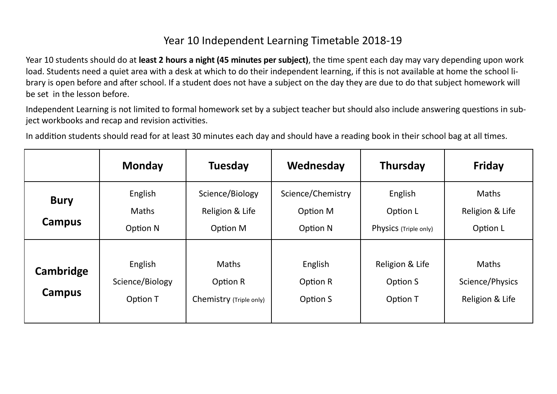## Year 10 Independent Learning Timetable 2018-19

Year 10 students should do at **least 2 hours a night (45 minutes per subject)**, the time spent each day may vary depending upon work load. Students need a quiet area with a desk at which to do their independent learning, if this is not available at home the school library is open before and after school. If a student does not have a subject on the day they are due to do that subject homework will be set in the lesson before.

Independent Learning is not limited to formal homework set by a subject teacher but should also include answering questions in subject workbooks and recap and revision activities.

In addition students should read for at least 30 minutes each day and should have a reading book in their school bag at all times.

|                       | <b>Monday</b>                          | <b>Tuesday</b>                                      | Wednesday                                 | <b>Thursday</b>                              | <b>Friday</b>                                      |
|-----------------------|----------------------------------------|-----------------------------------------------------|-------------------------------------------|----------------------------------------------|----------------------------------------------------|
| <b>Bury</b><br>Campus | English<br><b>Maths</b><br>Option N    | Science/Biology<br>Religion & Life<br>Option M      | Science/Chemistry<br>Option M<br>Option N | English<br>Option L<br>Physics (Triple only) | <b>Maths</b><br>Religion & Life<br>Option L        |
| Cambridge<br>Campus   | English<br>Science/Biology<br>Option T | <b>Maths</b><br>Option R<br>Chemistry (Triple only) | English<br>Option R<br>Option S           | Religion & Life<br>Option S<br>Option T      | <b>Maths</b><br>Science/Physics<br>Religion & Life |